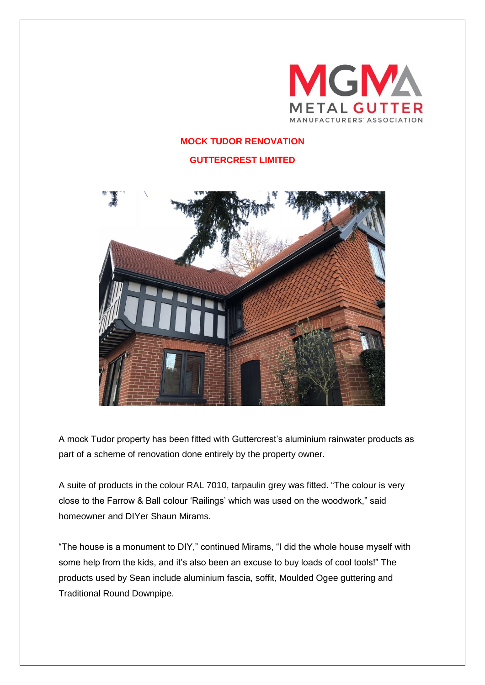

## **MOCK TUDOR RENOVATION**

**GUTTERCREST LIMITED**



A mock Tudor property has been fitted with Guttercrest's aluminium rainwater products as part of a scheme of renovation done entirely by the property owner.

A suite of products in the colour RAL 7010, tarpaulin grey was fitted. "The colour is very close to the Farrow & Ball colour 'Railings' which was used on the woodwork," said homeowner and DIYer Shaun Mirams.

"The house is a monument to DIY," continued Mirams, "I did the whole house myself with some help from the kids, and it's also been an excuse to buy loads of cool tools!" The products used by Sean include aluminium fascia, soffit, Moulded Ogee guttering and Traditional Round Downpipe.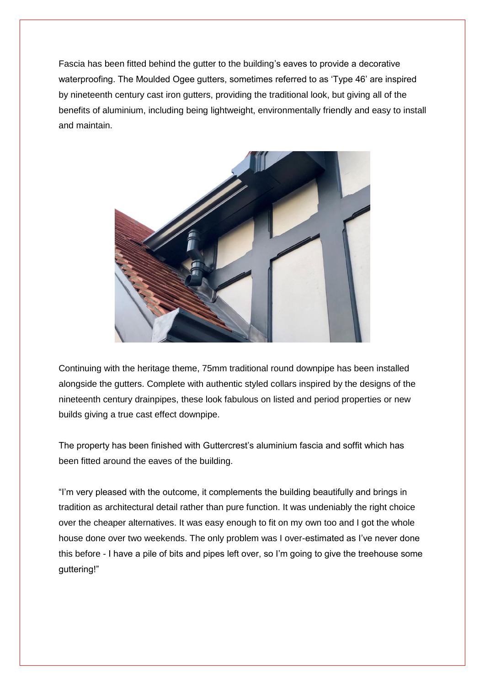Fascia has been fitted behind the gutter to the building's eaves to provide a decorative waterproofing. The Moulded Ogee gutters, sometimes referred to as 'Type 46' are inspired by nineteenth century cast iron gutters, providing the traditional look, but giving all of the benefits of aluminium, including being lightweight, environmentally friendly and easy to install and maintain.



Continuing with the heritage theme, 75mm traditional round downpipe has been installed alongside the gutters. Complete with authentic styled collars inspired by the designs of the nineteenth century drainpipes, these look fabulous on listed and period properties or new builds giving a true cast effect downpipe.

The property has been finished with Guttercrest's aluminium fascia and soffit which has been fitted around the eaves of the building.

"I'm very pleased with the outcome, it complements the building beautifully and brings in tradition as architectural detail rather than pure function. It was undeniably the right choice over the cheaper alternatives. It was easy enough to fit on my own too and I got the whole house done over two weekends. The only problem was I over-estimated as I've never done this before - I have a pile of bits and pipes left over, so I'm going to give the treehouse some guttering!"